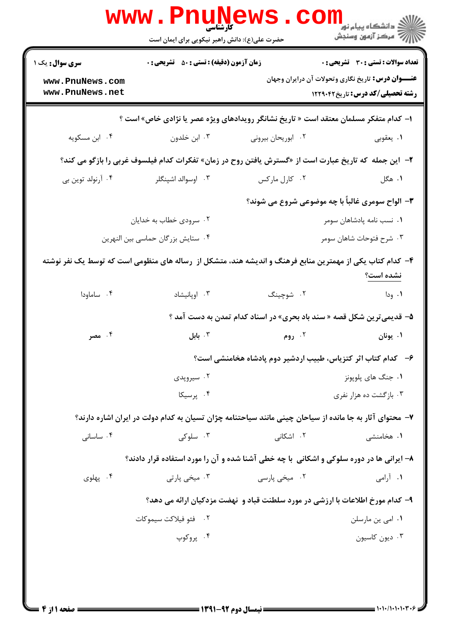| <b>تعداد سوالات : تستی : 30 ٪ تشریحی : 0</b>                                                          |                                                                                | <b>زمان آزمون (دقیقه) : تستی : 50 ٪ تشریحی : 0</b>                                                      | <b>سری سوال :</b> یک ۱                                                                                    |  |
|-------------------------------------------------------------------------------------------------------|--------------------------------------------------------------------------------|---------------------------------------------------------------------------------------------------------|-----------------------------------------------------------------------------------------------------------|--|
| <b>عنــــوان درس:</b> تاریخ نگاری وتحولات آن درایران وجهان<br><b>رشته تحصیلی/کد درس:</b> تاریخ1۲۲۹۰۴۲ |                                                                                |                                                                                                         | www.PnuNews.com<br>www.PnuNews.net                                                                        |  |
|                                                                                                       |                                                                                | ا- کدام متفکر مسلمان معتقد است « تاریخ نشانگر رویدادهای ویژه عصر یا نژادی خاص» است ؟                    |                                                                                                           |  |
| ۰۱ يعقوبي                                                                                             | ۰۲ ابوریحان بیرونی                                                             | ۰۳ ابن خلدون                                                                                            | ۰۴ ابن مسکویه                                                                                             |  |
|                                                                                                       |                                                                                | ۲-  این جمله که تاریخ عبارت است از «گسترش یافتن روح در زمان» تفکرات کدام فیلسوف غربی را بازگو می کند؟   |                                                                                                           |  |
| ۱. هگل                                                                                                | ۰۲ کارل مارکس                                                                  | ۰۳ اوسوالد اشپنگلر                                                                                      | ۰۴ آرنولد توين بي                                                                                         |  |
| 4- الواح سومری غالباً با چه موضوعی شروع می شوند؟                                                      |                                                                                |                                                                                                         |                                                                                                           |  |
| ۰۱ نسب نامه پادشاهان سومر                                                                             |                                                                                | ۰۲ سرودی خطاب به خدایان                                                                                 |                                                                                                           |  |
| ۰۳ شرح فتوحات شاهان سومر                                                                              |                                                                                | ۰۴ ستایش بزرگان حماسی بین النهرین                                                                       |                                                                                                           |  |
| نشده است؟                                                                                             |                                                                                |                                                                                                         | ۴– کدام کتاب یکی از مهمترین منابع فرهنگ و اندیشه هند، متشکل از  رساله های منظومی است که توسط یک نفر نوشته |  |
| ۰۱ ودا                                                                                                | ۲. شوچينگ                                                                      | ۰۳ اوپانیشاد                                                                                            | ۰۴ ساماودا                                                                                                |  |
|                                                                                                       | ۵– قدیمی ترین شکل قصه « سند باد بحری» در اسناد کدام تمدن به دست آمد ؟          |                                                                                                         |                                                                                                           |  |
| ۰۱ يونان                                                                                              | ۰۲ روم                                                                         | ا بابل $\cdot$                                                                                          | ۰۴ مصر                                                                                                    |  |
|                                                                                                       | ۶–۔ کدام کتاب اثر کتزیاس، طبیب اردشیر دوم پادشاه هخامنشی است؟                  |                                                                                                         |                                                                                                           |  |
| ۰۱ جنگ های پلویونز                                                                                    |                                                                                | ۰۲ سیروپدی                                                                                              |                                                                                                           |  |
| ۰۳ بازگشت ده هزار نفری                                                                                |                                                                                | ۰۴ پرسیکا                                                                                               |                                                                                                           |  |
|                                                                                                       |                                                                                | ۷– محتوای آثار به جا مانده از سیاحان چینی مانند سیاحتنامه چژان تسیان به کدام دولت در ایران اشاره دارند؟ |                                                                                                           |  |
| ۰۱ هخامنشی                                                                                            | ۰۲ اشکانی                                                                      | ۰۳ سلوکی                                                                                                | ۰۴ ساسانی                                                                                                 |  |
|                                                                                                       |                                                                                | ۸– ایرانی ها در دوره سلوکی و اشکانی با چه خطی آشنا شده و آن را مورد استفاده قرار دادند؟                 |                                                                                                           |  |
| ۰۱ آرامی                                                                                              | ۰۲ میخی پارسی                                                                  | ۰۳ میخي پارتي                                                                                           | ۰۴ پهلوی                                                                                                  |  |
|                                                                                                       | ۹– کدام مورخ اطلاعات با ارزشی در مورد سلطنت قباد و  نهضت مزدکیان ارائه می دهد؟ |                                                                                                         |                                                                                                           |  |
| ۰۱ امی ین مارسلن                                                                                      |                                                                                | ۰۲ فئو فيلاكت سيموكات                                                                                   |                                                                                                           |  |
| ۰۳ دیون کاسیون                                                                                        |                                                                                | ۰۴ پروکوپ                                                                                               |                                                                                                           |  |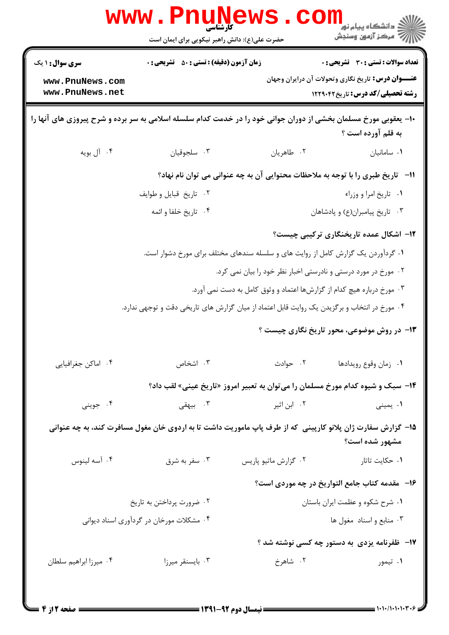|                                                                                                                                       | <b>WWW . PN</b><br>کارشناسی<br>حضرت علی(ع): دانش راهبر نیکویی برای ایمان است                               |                      | ڪ دانشڪاه پيا <sub>م</sub> نور<br>7- مرڪز آزمون وسنڊش                                                                                                |  |  |
|---------------------------------------------------------------------------------------------------------------------------------------|------------------------------------------------------------------------------------------------------------|----------------------|------------------------------------------------------------------------------------------------------------------------------------------------------|--|--|
| <b>سری سوال : ۱ یک</b><br>www.PnuNews.com<br>www.PnuNews.net                                                                          | <b>زمان آزمون (دقیقه) : تستی : 50 ٪ تشریحی : 0</b>                                                         |                      | <b>تعداد سوالات : تستی : 30 ٪ تشریحی : 0</b><br><b>عنـــوان درس:</b> تاریخ نگاری وتحولات آن درایران وجهان<br><b>رشته تحصیلی/کد درس:</b> تاریخ1۲۲۹۰۴۲ |  |  |
| ۱۰- یعقوبی مورخ مسلمان بخشی از دوران جوانی خود را در خدمت کدام سلسله اسلامی به سر برده و شرح پیروزی های آنها را<br>به قلم آورده است ؟ |                                                                                                            |                      |                                                                                                                                                      |  |  |
| ۰۴ آل بويه                                                                                                                            | ۰۳ سلجوقيان                                                                                                | ۰۲ طاهريان           | ٠١ سامانيان                                                                                                                                          |  |  |
|                                                                                                                                       | 11-   تاریخ طبری را با توجه به ملاحظات محتوایی آن به چه عنوانی می توان نام نهاد؟                           |                      |                                                                                                                                                      |  |  |
|                                                                                                                                       | ۰۲ تاریخ قبایل و طوایف                                                                                     |                      | ٠١. تاريخ امرا و وزراء                                                                                                                               |  |  |
|                                                                                                                                       | ۰۴ تاريخ خلفا و ائمه                                                                                       |                      | ۰۳ تاریخ پیامبران(ع) و پادشاهان                                                                                                                      |  |  |
|                                                                                                                                       |                                                                                                            |                      | ۱۲– اشکال عمده تاریخنگاری ترکیبی چیست؟                                                                                                               |  |  |
|                                                                                                                                       | ۰۱ گردآوردن یک گزارش کامل از روایت های و سلسله سندهای مختلف برای مورخ دشوار است.                           |                      |                                                                                                                                                      |  |  |
|                                                                                                                                       |                                                                                                            |                      | ۰۲ مورخ در مورد درستی و نادرستی اخبار نظر خود را بیان نمی کرد.                                                                                       |  |  |
|                                                                                                                                       |                                                                                                            |                      | ۰۳ مورخ درباره هیچ کدام از گزارشها اعتماد و وثوق کامل به دست نمی آورد.                                                                               |  |  |
|                                                                                                                                       | ۰۴ مورخ در انتخاب و برگزیدن یک روایت قابل اعتماد از میان گزارش های تاریخی دقت و توجهی ندارد.               |                      |                                                                                                                                                      |  |  |
|                                                                                                                                       |                                                                                                            |                      | ۱۳- در روش موضوعی، محور تاریخ نگاری چیست ؟                                                                                                           |  |  |
| ۰۴ اماكن جغرافيايي                                                                                                                    | ۰۳ اشخاص                                                                                                   | ۰۲ حوادث             | ٠١ زمان وقوع رويدادها                                                                                                                                |  |  |
|                                                                                                                                       | ۱۴- سبک و شیوه کدام مورخ مسلمان را میتوان به تعبیر امروز «تاریخ عینی» لقب داد؟                             |                      |                                                                                                                                                      |  |  |
| ۰۴ جويني                                                                                                                              | ۰۳ بیهقی $\cdot$                                                                                           | ۰۲ ابن اثیر          | ۰۱ یمینی                                                                                                                                             |  |  |
|                                                                                                                                       | ۱۵– گزارش سفارت ژان پلانو کارپینی که از طرف پاپ ماموریت داشت تا به اردوی خان مغول مسافرت کند، به چه عنوانی |                      | مشهور شده است؟                                                                                                                                       |  |  |
| ۰۴ آسه لينوس                                                                                                                          | ۰۳ سفر به شرق                                                                                              | ٠٢ گزارش ماتيو پاريس | ۰۱ حکایت تاتار                                                                                                                                       |  |  |
|                                                                                                                                       |                                                                                                            |                      | ۱۶-۔ مقدمه کتاب جامع التواريخ در چه موردي است؟                                                                                                       |  |  |
|                                                                                                                                       | ۰۲ ضرورت پرداختن به تاریخ                                                                                  |                      | ٠١ شرح شكوه و عظمت ايران باستان                                                                                                                      |  |  |
|                                                                                                                                       | ۰۴ مشکلات مورخان در گردآوری اسناد دیوانی                                                                   |                      | ۰۳ منابع و اسناد مغول ها                                                                                                                             |  |  |
|                                                                                                                                       |                                                                                                            |                      | ۱۷– ظفرنامه یزدی به دستور چه کسی نوشته شد ؟                                                                                                          |  |  |
| ۰۴ میرزا ابراهیم سلطان                                                                                                                | ۰۳ بايسنقر ميرزا                                                                                           | ۲. شاهرخ             | ۰۱ تیمور                                                                                                                                             |  |  |
|                                                                                                                                       |                                                                                                            |                      |                                                                                                                                                      |  |  |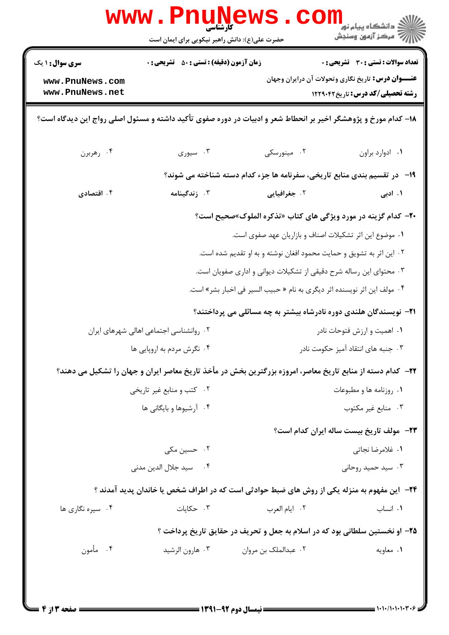|                                                              | <b>www.Pnune</b><br>کارشناسی<br>حضرت علی(ع): دانش راهبر نیکویی برای ایمان است                                      |                      | دانشگاه پيام نور ¶<br>ا∛ مرکز آزمهن وسنجش                                                                                                            |  |
|--------------------------------------------------------------|--------------------------------------------------------------------------------------------------------------------|----------------------|------------------------------------------------------------------------------------------------------------------------------------------------------|--|
| <b>سری سوال :</b> ۱ یک<br>www.PnuNews.com<br>www.PnuNews.net | <b>زمان آزمون (دقیقه) : تستی : 50 ٪ تشریحی : 0</b>                                                                 |                      | <b>تعداد سوالات : تستی : 30 ٪ تشریحی : 0</b><br><b>عنـــوان درس:</b> تاریخ نگاری وتحولات آن درایران وجهان<br><b>رشته تحصیلی/کد درس:</b> تاریخ1۲۲۹۰۴۲ |  |
|                                                              | ۱۸– کدام مورخ و پژوهشگر اخیر بر انحطاط شعر و ادبیات در دوره صفوی تأکید داشته و مسئول اصلی رواج این دیدگاه است؟     |                      |                                                                                                                                                      |  |
| ۰۴ رهربرن                                                    | ۰۳ سیوری                                                                                                           | ۰۲ مینورسکی          | ٠١. ادوارد براون                                                                                                                                     |  |
|                                                              | ۱۹-۔ در تقسیم بندی منابع تاریخی، سفرنامه ها جزء کدام دسته شناخته می شوند؟                                          |                      |                                                                                                                                                      |  |
| ۰۴ اقتصادی                                                   | ۰۳ زندگینامه                                                                                                       | ۰۲ جغرافیایی         | ۱. ادبی                                                                                                                                              |  |
|                                                              |                                                                                                                    |                      | +۲- کدام گزینه در مورد ویژگی های کتاب «تذکره الملوک»صحیح است؟                                                                                        |  |
| ١. موضوع اين اثر تشكيلات اصناف و بازاريان عهد صفوى است.      |                                                                                                                    |                      |                                                                                                                                                      |  |
|                                                              |                                                                                                                    |                      | ۰۲ این اثر به تشویق و حمایت محمود افغان نوشته و به او تقدیم شده است.                                                                                 |  |
|                                                              |                                                                                                                    |                      | ۰۳ محتوای این رساله شرح دقیقی از تشکیلات دیوانی و اداری صفویان است.                                                                                  |  |
|                                                              |                                                                                                                    |                      | ۰۴ مولف این اثر نویسنده اثر دیگری به نام « حبیب السیر فی اخبار بشر» است.                                                                             |  |
|                                                              |                                                                                                                    |                      | <b>۲۱</b> - نویسندگان هلندی دوره نادرشاه بیشتر به چه مسائلی می پرداختند؟                                                                             |  |
|                                                              | ۰۲ روانشناسی اجتماعی اهالی شهرهای ایران                                                                            |                      | ۰۱ اهمیت و ارزش فتوحات نادر                                                                                                                          |  |
|                                                              | ۰۴ نگرش مردم به اروپایی ها                                                                                         |                      | ۰۳ جنبه های انتقاد آمیز حکومت نادر                                                                                                                   |  |
|                                                              | <b>۲۲</b> – کدام دسته از منابع تاریخ معاصر، امروزه بزرگترین بخش در مأخذ تاریخ معاصر ایران و جهان را تشکیل می دهند؟ |                      |                                                                                                                                                      |  |
|                                                              | ۰۲ کتب و منابع غیر تاریخی                                                                                          |                      | ۰۱ روزنامه ها و مطبوعات                                                                                                                              |  |
|                                                              | ۰۴ آرشیوها و بایگانی ها                                                                                            |                      | ۰۳ منابع غیر مکتوب                                                                                                                                   |  |
|                                                              |                                                                                                                    |                      | <b>٢٣</b> - مولف تاريخ بيست ساله ايران كدام است؟                                                                                                     |  |
|                                                              | ۰۲ حسین مکی                                                                                                        |                      | ٠١ غلامرضا نجاتي                                                                                                                                     |  |
|                                                              | ۴ .       سيد جلال الدين مدنى                                                                                      |                      | ۰۳ سید حمید روحانی                                                                                                                                   |  |
|                                                              | ۲۴−  این مفهوم به منزله یکی از روش های ضبط حوادثی است که در اطراف شخص یا خاندان پدید آمدند ؟                       |                      |                                                                                                                                                      |  |
| ۰۴ سیره نگاری ها                                             | ۰۳ حکایات                                                                                                          | ٠٢ ايام العرب        | ۰۱ انساب                                                                                                                                             |  |
|                                                              | ۲۵- او نخستین سلطانی بود که در اسلام به جعل و تحریف در حقایق تاریخ پرداخت ؟                                        |                      |                                                                                                                                                      |  |
| ۰۴ مأمون                                                     | ۰۳ هارون الرشيد                                                                                                    | ۰۲ عبدالملک بن مروان | ٠١ معاويه                                                                                                                                            |  |
|                                                              |                                                                                                                    |                      |                                                                                                                                                      |  |